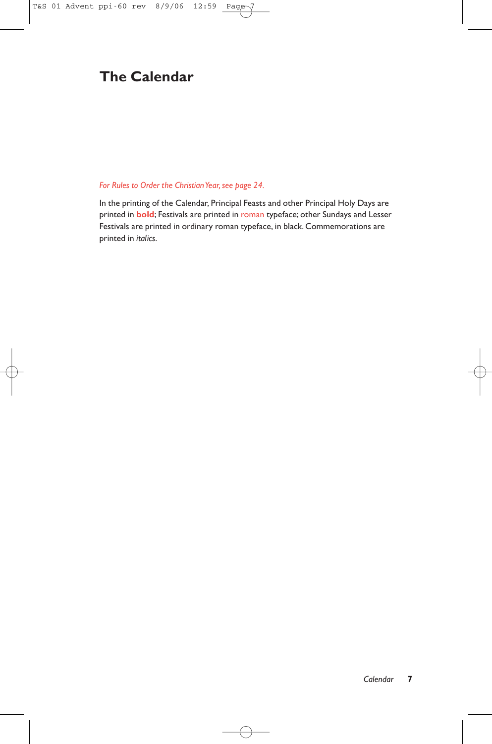# **The Calendar**

#### *For Rules to Order the Christian Year, see page 24.*

In the printing of the Calendar, Principal Feasts and other Principal Holy Days are printed in **bold**; Festivals are printed in roman typeface; other Sundays and Lesser Festivals are printed in ordinary roman typeface, in black. Commemorations are printed in *italics*.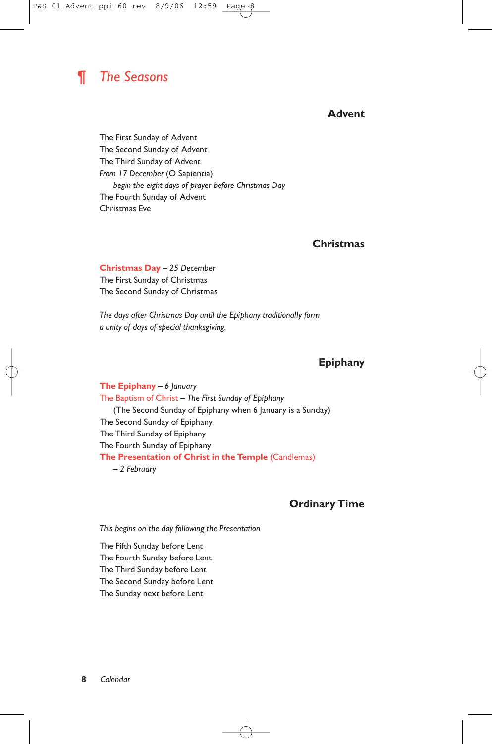# *¶ The Seasons*

## **Advent**

The First Sunday of Advent The Second Sunday of Advent The Third Sunday of Advent *From 17 December* (O Sapientia) *begin the eight days of prayer before Christmas Day* The Fourth Sunday of Advent Christmas Eve

## **Christmas**

**Christmas Day** – *25 December* The First Sunday of Christmas The Second Sunday of Christmas

*The days after Christmas Day until the Epiphany traditionally form a unity of days of special thanksgiving.*

## **Epiphany**

**The Epiphany** – *6 January* The Baptism of Christ – *The First Sunday of Epiphany* (The Second Sunday of Epiphany when 6 January is a Sunday) The Second Sunday of Epiphany The Third Sunday of Epiphany The Fourth Sunday of Epiphany **The Presentation of Christ in the Temple** (Candlemas) – *2 February*

## **Ordinary Time**

*This begins on the day following the Presentation*

The Fifth Sunday before Lent The Fourth Sunday before Lent The Third Sunday before Lent The Second Sunday before Lent The Sunday next before Lent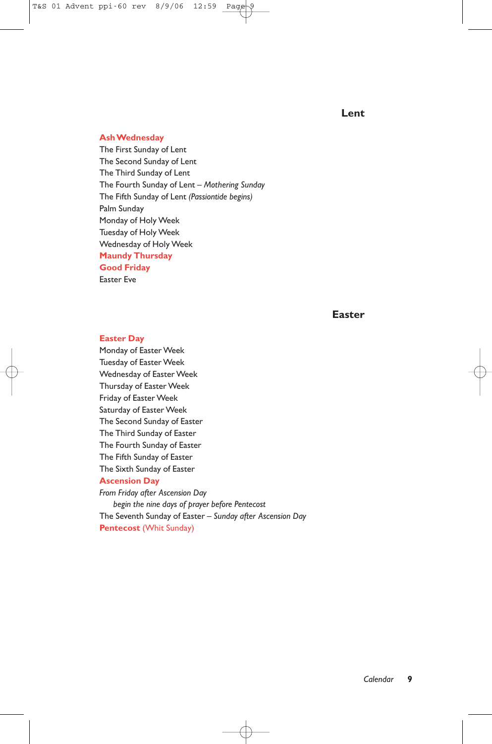**Lent**

#### **Ash Wednesday**

The First Sunday of Lent The Second Sunday of Lent The Third Sunday of Lent The Fourth Sunday of Lent – *Mothering Sunday* The Fifth Sunday of Lent *(Passiontide begins)* Palm Sunday Monday of Holy Week Tuesday of Holy Week Wednesday of Holy Week **Maundy Thursday Good Friday** Easter Eve

**Easter**

#### **Easter Day**

Monday of Easter Week Tuesday of Easter Week Wednesday of Easter Week Thursday of Easter Week Friday of Easter Week Saturday of Easter Week The Second Sunday of Easter The Third Sunday of Easter The Fourth Sunday of Easter The Fifth Sunday of Easter The Sixth Sunday of Easter **Ascension Day** *From Friday after Ascension Day begin the nine days of prayer before Pentecost* The Seventh Sunday of Easter – *Sunday after Ascension Day* **Pentecost** (Whit Sunday)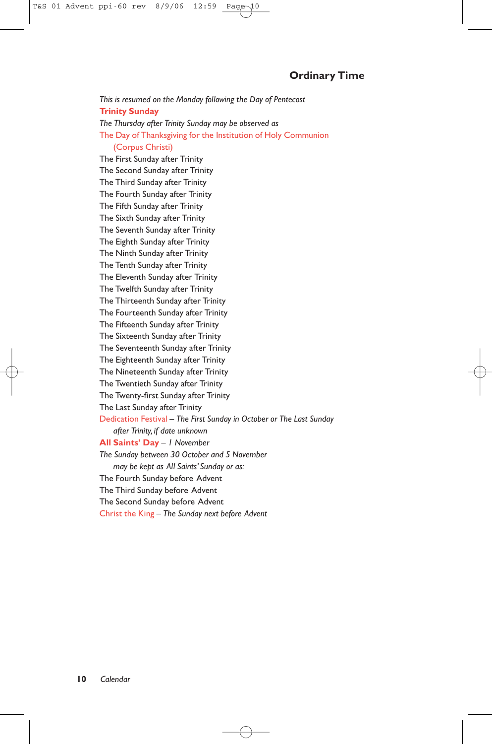# **Ordinary Time**

*This is resumed on the Monday following the Day of Pentecost* **Trinity Sunday** *The Thursday after Trinity Sunday may be observed as*  The Day of Thanksgiving for the Institution of Holy Communion (Corpus Christi) The First Sunday after Trinity The Second Sunday after Trinity The Third Sunday after Trinity The Fourth Sunday after Trinity The Fifth Sunday after Trinity The Sixth Sunday after Trinity The Seventh Sunday after Trinity The Eighth Sunday after Trinity The Ninth Sunday after Trinity The Tenth Sunday after Trinity The Eleventh Sunday after Trinity The Twelfth Sunday after Trinity The Thirteenth Sunday after Trinity The Fourteenth Sunday after Trinity The Fifteenth Sunday after Trinity The Sixteenth Sunday after Trinity The Seventeenth Sunday after Trinity The Eighteenth Sunday after Trinity The Nineteenth Sunday after Trinity The Twentieth Sunday after Trinity The Twenty-first Sunday after Trinity The Last Sunday after Trinity Dedication Festival – *The First Sunday in October or The Last Sunday after Trinity, if date unknown* **All Saints' Day** – *1 November The Sunday between 30 October and 5 November may be kept as All Saints' Sunday or as:* The Fourth Sunday before Advent The Third Sunday before Advent The Second Sunday before Advent Christ the King – *The Sunday next before Advent*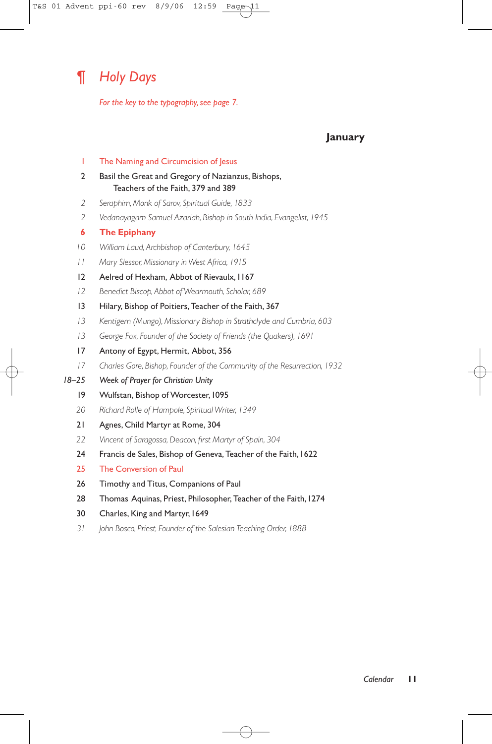# ¶ *Holy Days*

*For the key to the typography, see page 7.*

# **January**

## 1 The Naming and Circumcision of Jesus

## 2 Basil the Great and Gregory of Nazianzus, Bishops, Teachers of the Faith, 379 and 389

- *2 Seraphim, Monk of Sarov, Spiritual Guide, 1833*
- *2 Vedanayagam Samuel Azariah, Bishop in South India, Evangelist, 1945*
- **6 The Epiphany**
- *10 William Laud, Archbishop of Canterbury, 1645*
- *11 Mary Slessor, Missionary in West Africa, 1915*
- 12 Aelred of Hexham, Abbot of Rievaulx, 1167
- *12 Benedict Biscop, Abbot of Wearmouth, Scholar, 689*
- 13 Hilary, Bishop of Poitiers, Teacher of the Faith, 367
- *13 Kentigern (Mungo), Missionary Bishop in Strathclyde and Cumbria, 603*
- *13 George Fox, Founder of the Society of Friends (the Quakers), 1691*
- 17 Antony of Egypt, Hermit, Abbot, 356
- *17 Charles Gore, Bishop, Founder of the Community of the Resurrection, 1932*
- *18–25 Week of Prayer for Christian Unity*
	- 19 Wulfstan, Bishop of Worcester, 1095
	- *20 Richard Rolle of Hampole, Spiritual Writer, 1349*
	- 21 Agnes, Child Martyr at Rome, 304
	- *22 Vincent of Saragossa, Deacon, first Martyr of Spain, 304*
	- 24 Francis de Sales, Bishop of Geneva, Teacher of the Faith, 1622
	- 25 The Conversion of Paul
	- 26 Timothy and Titus, Companions of Paul
	- 28 Thomas Aquinas, Priest, Philosopher, Teacher of the Faith, 1274
	- 30 Charles, King and Martyr, 1649
	- *31 John Bosco, Priest, Founder of the Salesian Teaching Order, 1888*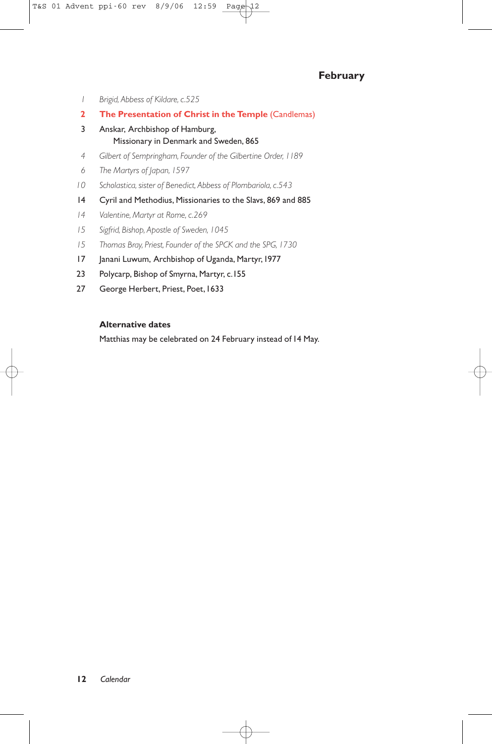- *1 Brigid, Abbess of Kildare, c.525*
- **2 The Presentation of Christ in the Temple (Candlemas)**
- 3 Anskar, Archbishop of Hamburg, Missionary in Denmark and Sweden, 865
- *4 Gilbert of Sempringham, Founder of the Gilbertine Order, 1189*
- *6 The Martyrs of Japan, 1597*
- *10 Scholastica, sister of Benedict, Abbess of Plombariola, c.543*
- 14 Cyril and Methodius, Missionaries to the Slavs, 869 and 885
- *14 Valentine, Martyr at Rome, c.269*
- *15 Sigfrid, Bishop, Apostle of Sweden, 1045*
- *15 Thomas Bray, Priest, Founder of the SPCK and the SPG, 1730*
- 17 Janani Luwum, Archbishop of Uganda, Martyr,1977
- 23 Polycarp, Bishop of Smyrna, Martyr, c.155
- 27 George Herbert, Priest, Poet, 1633

## **Alternative dates**

Matthias may be celebrated on 24 February instead of 14 May.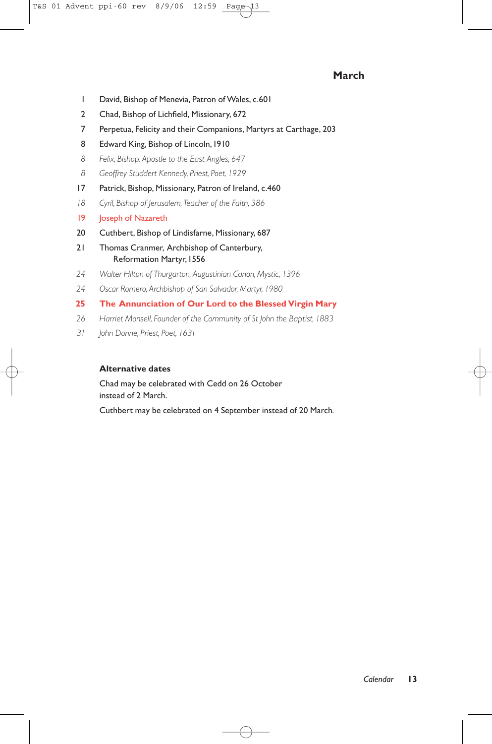# **March**

- 1 David, Bishop of Menevia, Patron of Wales, c.601
- 2 Chad, Bishop of Lichfield, Missionary, 672
- 7 Perpetua, Felicity and their Companions, Martyrs at Carthage, 203
- 8 Edward King, Bishop of Lincoln,1910
- *8 Felix, Bishop, Apostle to the East Angles, 647*
- *8 Geoffrey Studdert Kennedy, Priest, Poet, 1929*
- 17 Patrick, Bishop, Missionary, Patron of Ireland, c.460
- *18 Cyril, Bishop of Jerusalem,Teacher of the Faith, 386*
- 19 Joseph of Nazareth
- 20 Cuthbert, Bishop of Lindisfarne, Missionary, 687
- 21 Thomas Cranmer, Archbishop of Canterbury, Reformation Martyr, 1556
- *24 Walter Hilton of Thurgarton, Augustinian Canon, Mystic, 1396*
- *24 Oscar Romero, Archbishop of San Salvador, Martyr, 1980*
- **25 The Annunciation of Our Lord to the Blessed Virgin Mary**
- *26 Harriet Monsell, Founder of the Community of St John the Baptist, 1883*
- *31 John Donne, Priest, Poet, 1631*

## **Alternative dates**

Chad may be celebrated with Cedd on 26 October instead of 2 March.

Cuthbert may be celebrated on 4 September instead of 20 March*.*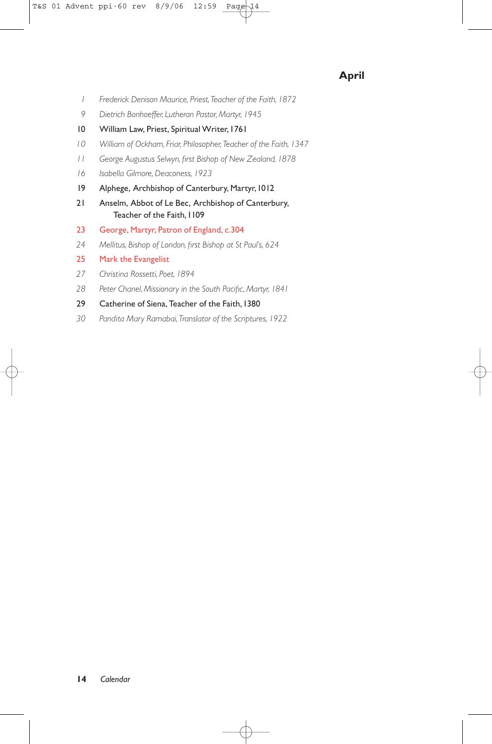- *1 Frederick Denison Maurice, Priest,Teacher of the Faith, 1872*
- *9 Dietrich Bonhoeffer, Lutheran Pastor, Martyr, 1945*
- 10 William Law, Priest, Spiritual Writer,1761
- *10 William of Ockham, Friar, Philosopher,Teacher of the Faith, 1347*
- *11 George Augustus Selwyn, first Bishop of New Zealand, 1878*
- *16 Isabella Gilmore, Deaconess, 1923*
- 19 Alphege, Archbishop of Canterbury, Martyr,1012
- 21 Anselm, Abbot of Le Bec, Archbishop of Canterbury, Teacher of the Faith, 1109
- 23 George, Martyr, Patron of England, c.304
- *24 Mellitus, Bishop of London, first Bishop at St Paul's, 624*
- 25 Mark the Evangelist
- *27 Christina Rossetti, Poet, 1894*
- *28 Peter Chanel, Missionary in the South Pacific, Martyr, 1841*
- 29 Catherine of Siena, Teacher of the Faith, 1380
- *30 Pandita Mary Ramabai,Translator of the Scriptures, 1922*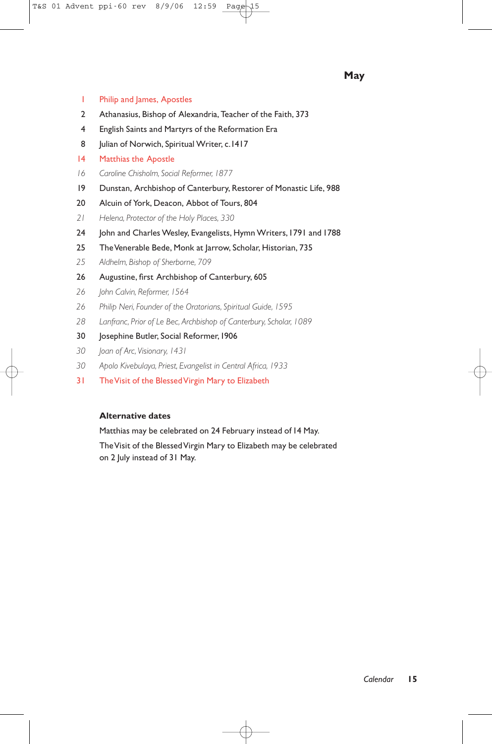- 2 Athanasius, Bishop of Alexandria, Teacher of the Faith, 373
- 4 English Saints and Martyrs of the Reformation Era
- 8 Julian of Norwich, Spiritual Writer, c.1417
- 14 Matthias the Apostle
- *16 Caroline Chisholm, Social Reformer, 1877*
- 19 Dunstan, Archbishop of Canterbury, Restorer of Monastic Life, 988
- 20 Alcuin of York, Deacon, Abbot of Tours, 804
- *21 Helena, Protector of the Holy Places, 330*
- 24 John and Charles Wesley, Evangelists, Hymn Writers, 1791 and 1788
- 25 The Venerable Bede, Monk at Jarrow, Scholar, Historian, 735
- *25 Aldhelm, Bishop of Sherborne, 709*
- 26 Augustine, first Archbishop of Canterbury, 605
- *26 John Calvin, Reformer, 1564*
- *26 Philip Neri, Founder of the Oratorians, Spiritual Guide, 1595*
- *28 Lanfranc, Prior of Le Bec, Archbishop of Canterbury, Scholar, 1089*
- 30 Josephine Butler, Social Reformer,1906
- *30 Joan of Arc,Visionary, 1431*
- *30 Apolo Kivebulaya, Priest, Evangelist in Central Africa, 1933*
- 31 The Visit of the Blessed Virgin Mary to Elizabeth

## **Alternative dates**

Matthias may be celebrated on 24 February instead of 14 May.

The Visit of the Blessed Virgin Mary to Elizabeth may be celebrated on 2 July instead of 31 May.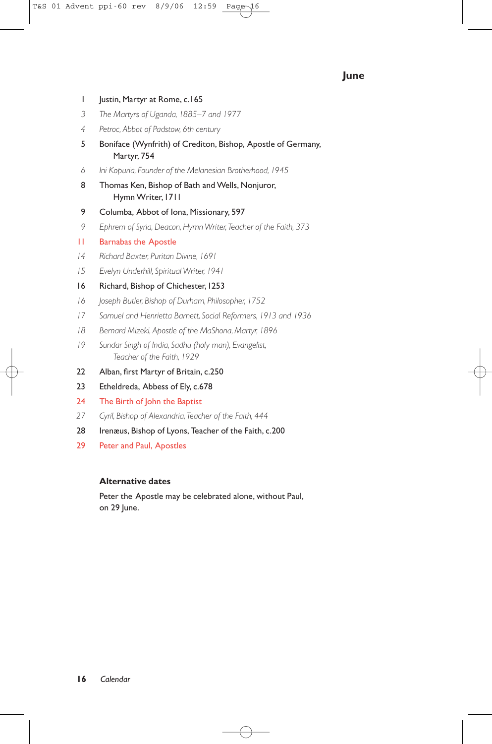## **June**

- 1 Justin, Martyr at Rome, c.165
- *3 The Martyrs of Uganda, 1885–7 and 1977*
- *4 Petroc, Abbot of Padstow, 6th century*
- 5 Boniface (Wynfrith) of Crediton, Bishop, Apostle of Germany, Martyr, 754
- *6 Ini Kopuria, Founder of the Melanesian Brotherhood, 1945*
- 8 Thomas Ken, Bishop of Bath and Wells, Nonjuror, Hymn Writer,1711
- 9 Columba, Abbot of Iona, Missionary, 597
- *9 Ephrem of Syria, Deacon, Hymn Writer,Teacher of the Faith, 373*
- 11 Barnabas the Apostle
- *14 Richard Baxter, Puritan Divine, 1691*
- *15 Evelyn Underhill, Spiritual Writer, 1941*
- 16 Richard, Bishop of Chichester,1253
- *16 Joseph Butler, Bishop of Durham, Philosopher, 1752*
- *17 Samuel and Henrietta Barnett, Social Reformers, 1913 and 1936*
- *18 Bernard Mizeki, Apostle of the MaShona, Martyr, 1896*
- *19 Sundar Singh of India, Sadhu (holy man), Evangelist, Teacher of the Faith, 1929*
- 22 Alban, first Martyr of Britain, c.250
- 23 Etheldreda, Abbess of Ely, c.678
- 24 The Birth of John the Baptist
- *27 Cyril, Bishop of Alexandria,Teacher of the Faith, 444*
- 28 Irenæus, Bishop of Lyons, Teacher of the Faith, c.200
- 29 Peter and Paul, Apostles

#### **Alternative dates**

Peter the Apostle may be celebrated alone, without Paul, on 29 June.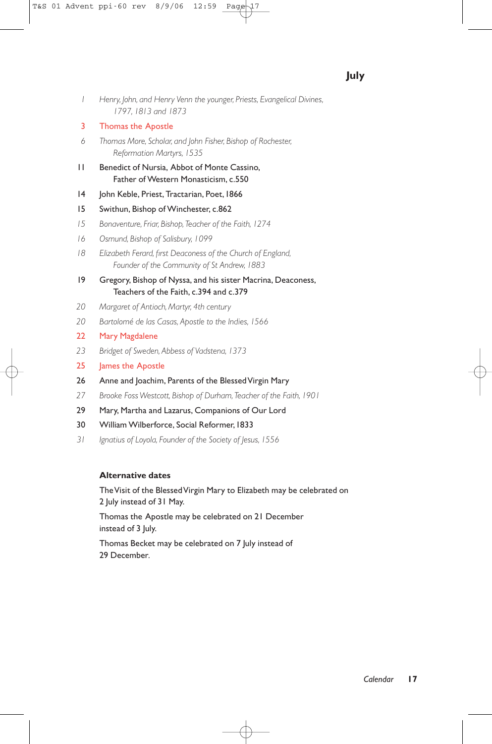# **July**

- *1 Henry, John, and Henry Venn the younger, Priests, Evangelical Divines, 1797, 1813 and 1873*
- 3 Thomas the Apostle
- *6 Thomas More, Scholar, and John Fisher, Bishop of Rochester, Reformation Martyrs, 1535*
- 11 Benedict of Nursia, Abbot of Monte Cassino, Father of Western Monasticism, c.550
- 14 John Keble, Priest, Tractarian, Poet, 1866
- 15 Swithun, Bishop of Winchester, c.862
- *15 Bonaventure, Friar, Bishop,Teacher of the Faith, 1274*
- *16 Osmund, Bishop of Salisbury, 1099*
- *18 Elizabeth Ferard, first Deaconess of the Church of England, Founder of the Community of St Andrew, 1883*
- 19 Gregory, Bishop of Nyssa, and his sister Macrina, Deaconess, Teachers of the Faith, c.394 and c.379
- *20 Margaret of Antioch, Martyr, 4th century*
- *20 Bartolomé de las Casas, Apostle to the Indies, 1566*
- 22 Mary Magdalene
- *23 Bridget of Sweden, Abbess of Vadstena, 1373*
- 25 James the Apostle
- 26 Anne and Joachim, Parents of the Blessed Virgin Mary
- *27 Brooke Foss Westcott, Bishop of Durham,Teacher of the Faith, 1901*
- 29 Mary, Martha and Lazarus, Companions of Our Lord
- 30 William Wilberforce, Social Reformer,1833
- *31 Ignatius of Loyola, Founder of the Society of Jesus, 1556*

## **Alternative dates**

The Visit of the Blessed Virgin Mary to Elizabeth may be celebrated on 2 July instead of 31 May.

Thomas the Apostle may be celebrated on 21 December instead of 3 July.

Thomas Becket may be celebrated on 7 July instead of 29 December*.*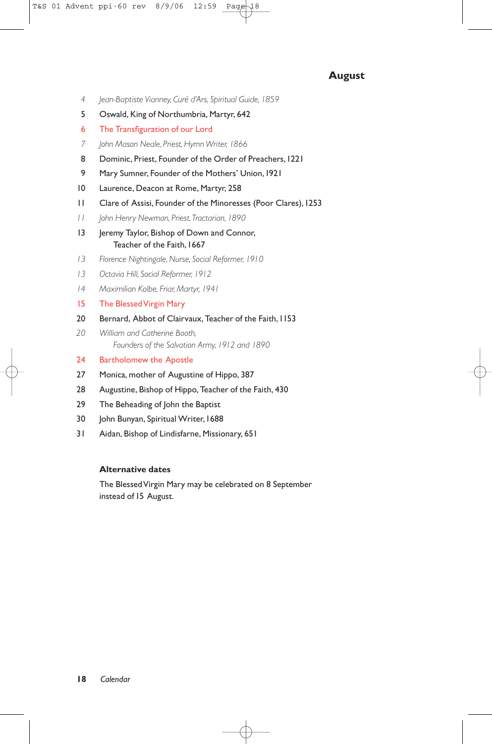# **August**

- *4 Jean-Baptiste Vianney, Curé d'Ars, Spiritual Guide, 1859*
- 5 Oswald, King of Northumbria, Martyr, 642
- 6 The Transfiguration of our Lord
- *7 John Mason Neale, Priest, Hymn Writer, 1866*
- 8 Dominic, Priest, Founder of the Order of Preachers, 1221
- 9 Mary Sumner, Founder of the Mothers' Union,1921
- 10 Laurence, Deacon at Rome, Martyr, 258
- 11 Clare of Assisi, Founder of the Minoresses (Poor Clares),1253
- *11 John Henry Newman, Priest,Tractarian, 1890*
- 13 Jeremy Taylor, Bishop of Down and Connor, Teacher of the Faith, 1667
- *13 Florence Nightingale, Nurse, Social Reformer, 1910*
- *13 Octavia Hill, Social Reformer, 1912*
- *14 Maximilian Kolbe, Friar, Martyr, 1941*
- 15 The Blessed Virgin Mary
- 20 Bernard, Abbot of Clairvaux, Teacher of the Faith, 1153
- *20 William and Catherine Booth, Founders of the Salvation Army, 1912 and 1890*
- 24 Bartholomew the Apostle
- 27 Monica, mother of Augustine of Hippo, 387
- 28 Augustine, Bishop of Hippo, Teacher of the Faith, 430
- 29 The Beheading of John the Baptist
- 30 John Bunyan, Spiritual Writer, 1688
- 31 Aidan, Bishop of Lindisfarne, Missionary, 651

## **Alternative dates**

The Blessed Virgin Mary may be celebrated on 8 September instead of 15 August.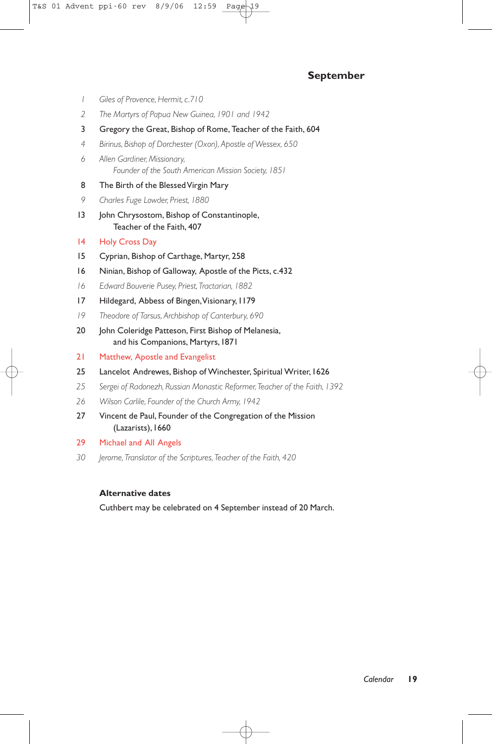# **September**

- *1 Giles of Provence, Hermit, c.710*
- *2 The Martyrs of Papua New Guinea, 1901 and 1942*
- 3 Gregory the Great, Bishop of Rome, Teacher of the Faith, 604
- *4 Birinus, Bishop of Dorchester (Oxon), Apostle of Wessex, 650*
- *6 Allen Gardiner, Missionary, Founder of the South American Mission Society, 1851*
- 8 The Birth of the Blessed Virgin Mary
- *9 Charles Fuge Lowder, Priest, 1880*
- 13 John Chrysostom, Bishop of Constantinople, Teacher of the Faith, 407
- 14 Holy Cross Day
- 15 Cyprian, Bishop of Carthage, Martyr, 258
- 16 Ninian, Bishop of Galloway, Apostle of the Picts, c.432
- *16 Edward Bouverie Pusey, Priest,Tractarian, 1882*
- 17 Hildegard, Abbess of Bingen,Visionary,1179
- *19 Theodore of Tarsus, Archbishop of Canterbury, 690*
- 20 John Coleridge Patteson, First Bishop of Melanesia, and his Companions, Martyrs,1871
- 21 Matthew, Apostle and Evangelist
- 25 Lancelot Andrewes, Bishop of Winchester, Spiritual Writer,1626
- *25 Sergei of Radonezh, Russian Monastic Reformer,Teacher of the Faith, 1392*
- *26 Wilson Carlile, Founder of the Church Army, 1942*
- 27 Vincent de Paul, Founder of the Congregation of the Mission (Lazarists), 1660
- 29 Michael and All Angels
- *30 Jerome,Translator of the Scriptures,Teacher of the Faith, 420*

## **Alternative dates**

Cuthbert may be celebrated on 4 September instead of 20 March.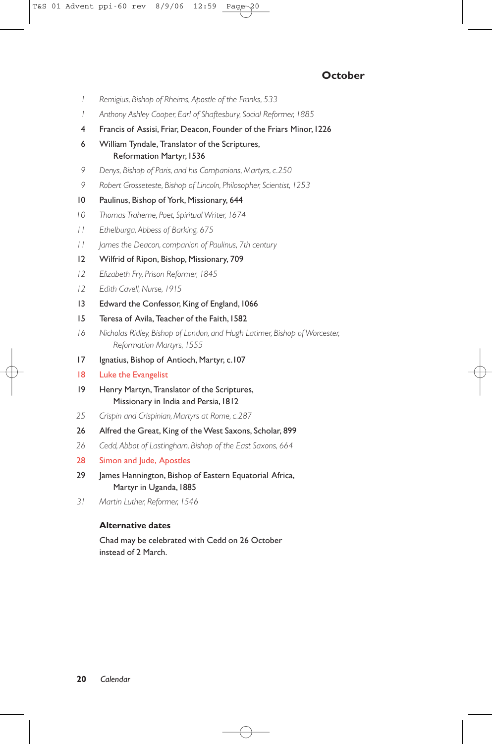# **October**

- *1 Remigius, Bishop of Rheims, Apostle of the Franks, 533*
- *1 Anthony Ashley Cooper, Earl of Shaftesbury, Social Reformer, 1885*
- 4 Francis of Assisi, Friar, Deacon, Founder of the Friars Minor,1226
- 6 William Tyndale, Translator of the Scriptures, Reformation Martyr, 1536
- *9 Denys, Bishop of Paris, and his Companions, Martyrs, c.250*
- *9 Robert Grosseteste, Bishop of Lincoln, Philosopher, Scientist, 1253*
- 10 Paulinus, Bishop of York, Missionary, 644
- *10 Thomas Traherne, Poet, Spiritual Writer, 1674*
- *11 Ethelburga, Abbess of Barking, 675*
- *11 James the Deacon, companion of Paulinus, 7th century*
- 12 Wilfrid of Ripon, Bishop, Missionary, 709
- *12 Elizabeth Fry, Prison Reformer, 1845*
- *12 Edith Cavell, Nurse, 1915*
- 13 Edward the Confessor, King of England, 1066
- 15 Teresa of Avila, Teacher of the Faith,1582
- *16 Nicholas Ridley, Bishop of London, and Hugh Latimer, Bishop of Worcester, Reformation Martyrs, 1555*
- 17 Ignatius, Bishop of Antioch, Martyr, c.107
- 18 Luke the Evangelist
- 19 Henry Martyn, Translator of the Scriptures, Missionary in India and Persia,1812
- *25 Crispin and Crispinian, Martyrs at Rome, c.287*
- 26 Alfred the Great, King of the West Saxons, Scholar, 899
- *26 Cedd, Abbot of Lastingham, Bishop of the East Saxons, 664*
- 28 Simon and Jude, Apostles
- 29 James Hannington, Bishop of Eastern Equatorial Africa, Martyr in Uganda,1885
- *31 Martin Luther, Reformer, 1546*

## **Alternative dates**

Chad may be celebrated with Cedd on 26 October instead of 2 March.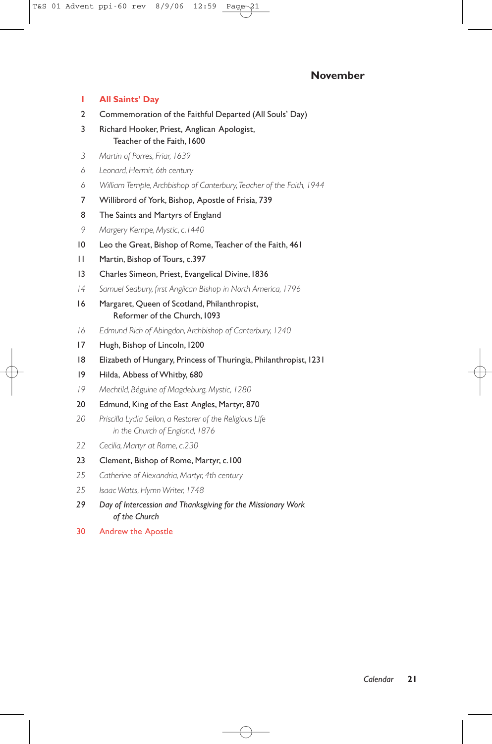### **1 All Saints' Day**

- 2 Commemoration of the Faithful Departed (All Souls' Day)
- 3 Richard Hooker, Priest, Anglican Apologist, Teacher of the Faith, 1600
- *3 Martin of Porres, Friar, 1639*
- *6 Leonard, Hermit, 6th century*
- *6 William Temple, Archbishop of Canterbury,Teacher of the Faith, 1944*
- 7 Willibrord of York, Bishop, Apostle of Frisia, 739
- 8 The Saints and Martyrs of England
- *9 Margery Kempe, Mystic, c.1440*
- 10 Leo the Great, Bishop of Rome, Teacher of the Faith, 461
- 11 Martin, Bishop of Tours, c.397
- 13 Charles Simeon, Priest, Evangelical Divine, 1836
- *14 Samuel Seabury, first Anglican Bishop in North America, 1796*
- 16 Margaret, Queen of Scotland, Philanthropist, Reformer of the Church, 1093
- *16 Edmund Rich of Abingdon, Archbishop of Canterbury, 1240*
- 17 Hugh, Bishop of Lincoln,1200
- 18 Elizabeth of Hungary, Princess of Thuringia, Philanthropist,1231
- 19 Hilda, Abbess of Whitby, 680
- *19 Mechtild, Béguine of Magdeburg, Mystic, 1280*
- 20 Edmund, King of the East Angles, Martyr, 870
- *20 Priscilla Lydia Sellon, a Restorer of the Religious Life in the Church of England, 1876*
- *22 Cecilia, Martyr at Rome, c.230*
- 23 Clement, Bishop of Rome, Martyr, c.100
- *25 Catherine of Alexandria, Martyr, 4th century*
- *25 Isaac Watts, Hymn Writer, 1748*
- *29 Day of Intercession and Thanksgiving for the Missionary Work of the Church*
- 30 Andrew the Apostle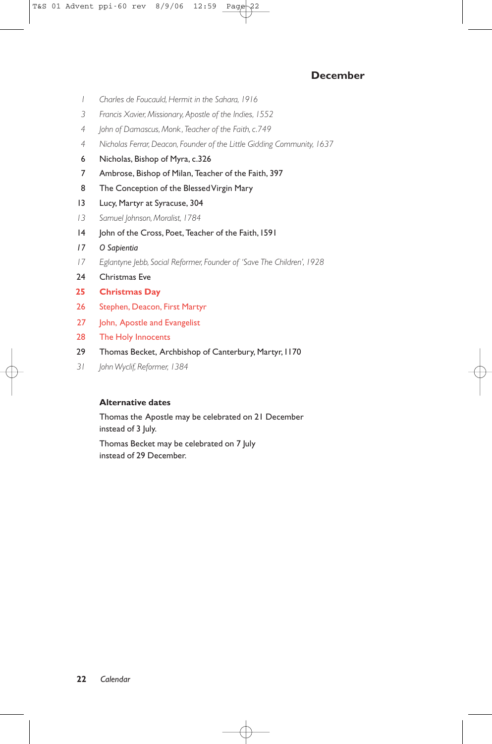## **December**

- *1 Charles de Foucauld, Hermit in the Sahara, 1916*
- *3 Francis Xavier, Missionary, Apostle of the Indies, 1552*
- *4 John of Damascus, Monk ,Teacher of the Faith, c.749*
- *4 Nicholas Ferrar, Deacon, Founder of the Little Gidding Community, 1637*
- 6 Nicholas, Bishop of Myra, c.326
- 7 Ambrose, Bishop of Milan, Teacher of the Faith, 397
- 8 The Conception of the Blessed Virgin Mary
- 13 Lucy, Martyr at Syracuse, 304
- *13 Samuel Johnson, Moralist, 1784*
- 14 John of the Cross, Poet, Teacher of the Faith, 1591
- *17 O Sapientia*
- *17 Eglantyne Jebb, Social Reformer, Founder of 'Save The Children', 1928*
- 24 Christmas Eve
- **25 Christmas Day**
- 26 Stephen, Deacon, First Martyr
- 27 John, Apostle and Evangelist
- 28 The Holy Innocents
- 29 Thomas Becket, Archbishop of Canterbury, Martyr, 1170
- *31 John Wyclif, Reformer, 1384*

#### **Alternative dates**

Thomas the Apostle may be celebrated on 21 December instead of 3 July.

Thomas Becket may be celebrated on 7 July instead of 29 December.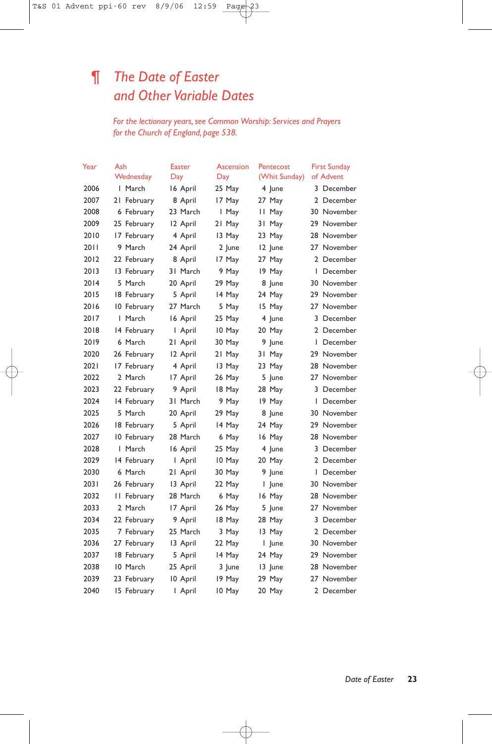# *¶ The Date of Easter and Other Variable Dates*

*For the lectionary years, see Common Worship: Services and Prayers for the Church of England, page 538.*

| Year | Ash |             |     | Easter   |     | Ascension | Pentecost     | <b>First Sunday</b> |
|------|-----|-------------|-----|----------|-----|-----------|---------------|---------------------|
|      |     | Wednesday   | Day |          | Day |           | (Whit Sunday) | of Advent           |
| 2006 |     | I March     |     | 16 April |     | 25 May    | 4 June        | 3 December          |
| 2007 |     | 21 February |     | 8 April  |     | 17 May    | 27 May        | 2 December          |
| 2008 |     | 6 February  |     | 23 March |     | 1 May     | II May        | 30 November         |
| 2009 |     | 25 February |     | 12 April |     | 21 May    | 31 May        | 29 November         |
| 2010 |     | 17 February |     | 4 April  |     | 13 May    | 23 May        | 28 November         |
| 2011 |     | 9 March     |     | 24 April |     | 2 June    | 12 June       | 27 November         |
| 2012 |     | 22 February |     | 8 April  |     | 17 May    | 27 May        | 2 December          |
| 2013 |     | 13 February |     | 31 March |     | 9 May     | 19 May        | I December          |
| 2014 |     | 5 March     |     | 20 April |     | 29 May    | 8 June        | 30 November         |
| 2015 |     | 18 February |     | 5 April  |     | 14 May    | 24 May        | 29 November         |
| 2016 |     | 10 February |     | 27 March |     | 5 May     | 15 May        | 27 November         |
| 2017 |     | I March     |     | 16 April |     | 25 May    | 4 June        | 3 December          |
| 2018 |     | 14 February |     | I April  |     | 10 May    | 20 May        | 2 December          |
| 2019 |     | 6 March     |     | 21 April |     | 30 May    | 9 June        | I December          |
| 2020 |     | 26 February |     | 12 April |     | 21 May    | 31 May        | 29 November         |
| 2021 |     | 17 February |     | 4 April  |     | 13 May    | 23 May        | 28 November         |
| 2022 |     | 2 March     |     | 17 April |     | 26 May    | 5 June        | 27 November         |
| 2023 |     | 22 February |     | 9 April  |     | 18 May    | 28 May        | 3 December          |
| 2024 |     | 14 February |     | 31 March |     | 9 May     | 19 May        | I December          |
| 2025 |     | 5 March     |     | 20 April |     | 29 May    | 8 June        | 30 November         |
| 2026 |     | 18 February |     | 5 April  |     | 14 May    | 24 May        | 29 November         |
| 2027 |     | 10 February |     | 28 March |     | 6 May     | 16 May        | 28 November         |
| 2028 |     | I March     |     | 16 April |     | 25 May    | 4 June        | 3 December          |
| 2029 |     | 14 February |     | I April  |     | 10 May    | 20 May        | 2 December          |
| 2030 |     | 6 March     |     | 21 April |     | 30 May    | 9 June        | I December          |
| 2031 |     | 26 February |     | 13 April |     | 22 May    | l June        | 30 November         |
| 2032 |     | II February |     | 28 March |     | 6 May     | 16 May        | 28 November         |
| 2033 |     | 2 March     |     | 17 April |     | 26 May    | 5 June        | 27 November         |
| 2034 |     | 22 February |     | 9 April  |     | 18 May    | 28 May        | 3 December          |
| 2035 |     | 7 February  |     | 25 March |     | 3 May     | 13 May        | 2 December          |
| 2036 |     | 27 February |     | 13 April |     | 22 May    | I June        | 30 November         |
| 2037 |     | 18 February |     | 5 April  |     | 14 May    | 24 May        | 29 November         |
| 2038 |     | 10 March    |     | 25 April |     | 3 June    | 13 June       | 28 November         |
| 2039 |     | 23 February |     | 10 April |     | 19 May    | 29 May        | 27 November         |
| 2040 |     | 15 February |     | I April  |     | 10 May    | 20 May        | 2 December          |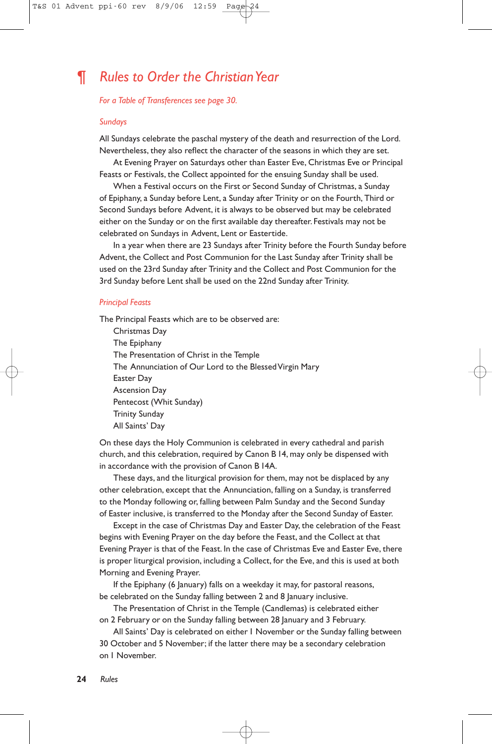# *¶ Rules to Order the Christian Year*

*For a Table of Transferences see page 30.*

#### *Sundays*

All Sundays celebrate the paschal mystery of the death and resurrection of the Lord. Nevertheless, they also reflect the character of the seasons in which they are set.

At Evening Prayer on Saturdays other than Easter Eve, Christmas Eve or Principal Feasts or Festivals, the Collect appointed for the ensuing Sunday shall be used.

When a Festival occurs on the First or Second Sunday of Christmas, a Sunday of Epiphany, a Sunday before Lent, a Sunday after Trinity or on the Fourth, Third or Second Sundays before Advent, it is always to be observed but may be celebrated either on the Sunday or on the first available day thereafter. Festivals may not be celebrated on Sundays in Advent, Lent or Eastertide.

In a year when there are 23 Sundays after Trinity before the Fourth Sunday before Advent, the Collect and Post Communion for the Last Sunday after Trinity shall be used on the 23rd Sunday after Trinity and the Collect and Post Communion for the 3rd Sunday before Lent shall be used on the 22nd Sunday after Trinity.

#### *Principal Feasts*

The Principal Feasts which are to be observed are:

Christmas Day The Epiphany The Presentation of Christ in the Temple The Annunciation of Our Lord to the Blessed Virgin Mary Easter Day Ascension Day Pentecost (Whit Sunday) Trinity Sunday All Saints' Day

On these days the Holy Communion is celebrated in every cathedral and parish church, and this celebration, required by Canon B 14, may only be dispensed with in accordance with the provision of Canon B 14A.

These days, and the liturgical provision for them, may not be displaced by any other celebration, except that the Annunciation, falling on a Sunday, is transferred to the Monday following or, falling between Palm Sunday and the Second Sunday of Easter inclusive, is transferred to the Monday after the Second Sunday of Easter.

Except in the case of Christmas Day and Easter Day, the celebration of the Feast begins with Evening Prayer on the day before the Feast, and the Collect at that Evening Prayer is that of the Feast. In the case of Christmas Eve and Easter Eve, there is proper liturgical provision, including a Collect, for the Eve, and this is used at both Morning and Evening Prayer.

If the Epiphany (6 January) falls on a weekday it may, for pastoral reasons, be celebrated on the Sunday falling between 2 and 8 January inclusive.

The Presentation of Christ in the Temple (Candlemas) is celebrated either on 2 February or on the Sunday falling between 28 January and 3 February.

All Saints' Day is celebrated on either I November or the Sunday falling between 30 October and 5 November; if the latter there may be a secondary celebration on 1 November.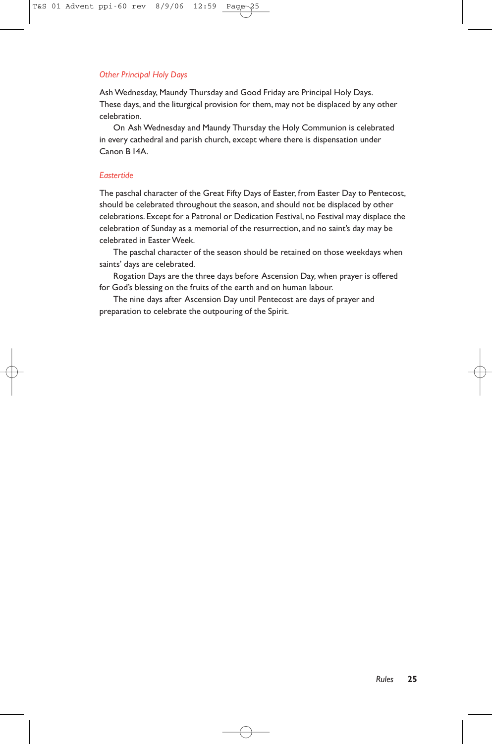#### *Other Principal Holy Days*

Ash Wednesday, Maundy Thursday and Good Friday are Principal Holy Days. These days, and the liturgical provision for them, may not be displaced by any other celebration.

On Ash Wednesday and Maundy Thursday the Holy Communion is celebrated in every cathedral and parish church, except where there is dispensation under Canon B 14A.

#### *Eastertide*

The paschal character of the Great Fifty Days of Easter, from Easter Day to Pentecost, should be celebrated throughout the season, and should not be displaced by other celebrations. Except for a Patronal or Dedication Festival, no Festival may displace the celebration of Sunday as a memorial of the resurrection, and no saint's day may be celebrated in Easter Week.

The paschal character of the season should be retained on those weekdays when saints' days are celebrated.

Rogation Days are the three days before Ascension Day, when prayer is offered for God's blessing on the fruits of the earth and on human labour.

The nine days after Ascension Day until Pentecost are days of prayer and preparation to celebrate the outpouring of the Spirit.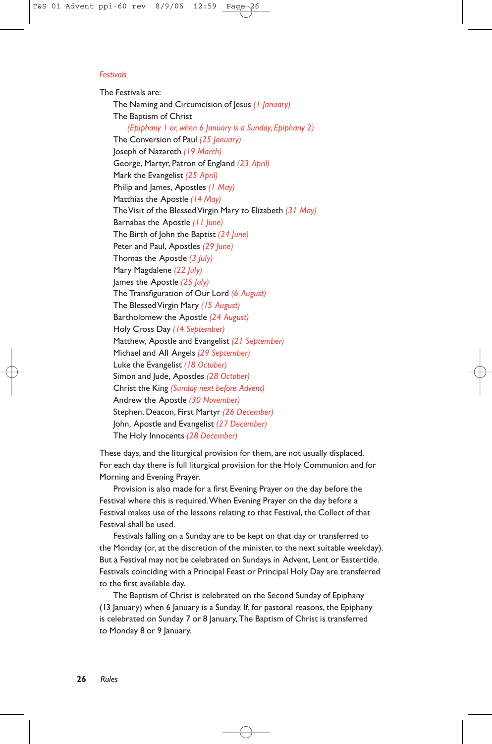#### *Festivals*

The Festivals are: The Naming and Circumcision of Jesus *(1 January)* The Baptism of Christ *(Epiphany 1 or, when 6 January is a Sunday, Epiphany 2)* The Conversion of Paul *(25 January)* Joseph of Nazareth *(19 March)* George, Martyr, Patron of England *(23 April)* Mark the Evangelist *(25 April)* Philip and James, Apostles *(1 May)* Matthias the Apostle *(14 May)* The Visit of the Blessed Virgin Mary to Elizabeth *(31 May)* Barnabas the Apostle *(11 June)* The Birth of John the Baptist *(24 June)* Peter and Paul, Apostles *(29 June)* Thomas the Apostle *(3 July)* Mary Magdalene *(22 July)* James the Apostle *(25 July)* The Transfiguration of Our Lord *(6 August)* The Blessed Virgin Mary *(15 August)* Bartholomew the Apostle *(24 August)* Holy Cross Day *(14 September)* Matthew, Apostle and Evangelist *(21 September)* Michael and All Angels *(29 September)* Luke the Evangelist *(18 October)* Simon and Jude, Apostles *(28 October)* Christ the King *(Sunday next before Advent)* Andrew the Apostle *(30 November)* Stephen, Deacon, First Martyr *(26 December)* John, Apostle and Evangelist *(27 December)* The Holy Innocents *(28 December)*

These days, and the liturgical provision for them, are not usually displaced. For each day there is full liturgical provision for the Holy Communion and for Morning and Evening Prayer.

Provision is also made for a first Evening Prayer on the day before the Festival where this is required.When Evening Prayer on the day before a Festival makes use of the lessons relating to that Festival, the Collect of that Festival shall be used.

Festivals falling on a Sunday are to be kept on that day or transferred to the Monday (or, at the discretion of the minister, to the next suitable weekday). But a Festival may not be celebrated on Sundays in Advent, Lent or Eastertide. Festivals coinciding with a Principal Feast or Principal Holy Day are transferred to the first available day.

The Baptism of Christ is celebrated on the Second Sunday of Epiphany (13 January) when 6 January is a Sunday. If, for pastoral reasons, the Epiphany is celebrated on Sunday 7 or 8 January, The Baptism of Christ is transferred to Monday 8 or 9 January.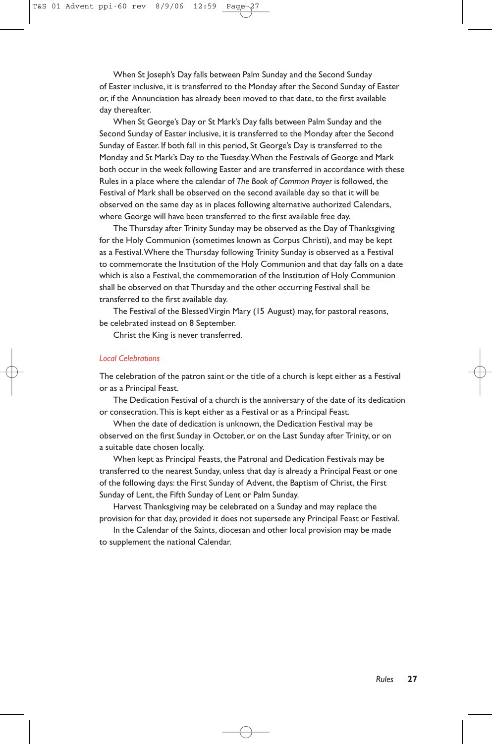When St Joseph's Day falls between Palm Sunday and the Second Sunday of Easter inclusive, it is transferred to the Monday after the Second Sunday of Easter or, if the Annunciation has already been moved to that date, to the first available day thereafter.

When St George's Day or St Mark's Day falls between Palm Sunday and the Second Sunday of Easter inclusive, it is transferred to the Monday after the Second Sunday of Easter. If both fall in this period, St George's Day is transferred to the Monday and St Mark's Day to the Tuesday.When the Festivals of George and Mark both occur in the week following Easter and are transferred in accordance with these Rules in a place where the calendar of *The Book of Common Prayer* is followed, the Festival of Mark shall be observed on the second available day so that it will be observed on the same day as in places following alternative authorized Calendars, where George will have been transferred to the first available free day.

The Thursday after Trinity Sunday may be observed as the Day of Thanksgiving for the Holy Communion (sometimes known as Corpus Christi), and may be kept as a Festival.Where the Thursday following Trinity Sunday is observed as a Festival to commemorate the Institution of the Holy Communion and that day falls on a date which is also a Festival, the commemoration of the Institution of Holy Communion shall be observed on that Thursday and the other occurring Festival shall be transferred to the first available day.

The Festival of the Blessed Virgin Mary (15 August) may, for pastoral reasons, be celebrated instead on 8 September.

Christ the King is never transferred.

#### *Local Celebrations*

The celebration of the patron saint or the title of a church is kept either as a Festival or as a Principal Feast.

The Dedication Festival of a church is the anniversary of the date of its dedication or consecration.This is kept either as a Festival or as a Principal Feast.

When the date of dedication is unknown, the Dedication Festival may be observed on the first Sunday in October, or on the Last Sunday after Trinity, or on a suitable date chosen locally.

When kept as Principal Feasts, the Patronal and Dedication Festivals may be transferred to the nearest Sunday, unless that day is already a Principal Feast or one of the following days: the First Sunday of Advent, the Baptism of Christ, the First Sunday of Lent, the Fifth Sunday of Lent or Palm Sunday.

Harvest Thanksgiving may be celebrated on a Sunday and may replace the provision for that day, provided it does not supersede any Principal Feast or Festival.

In the Calendar of the Saints, diocesan and other local provision may be made to supplement the national Calendar.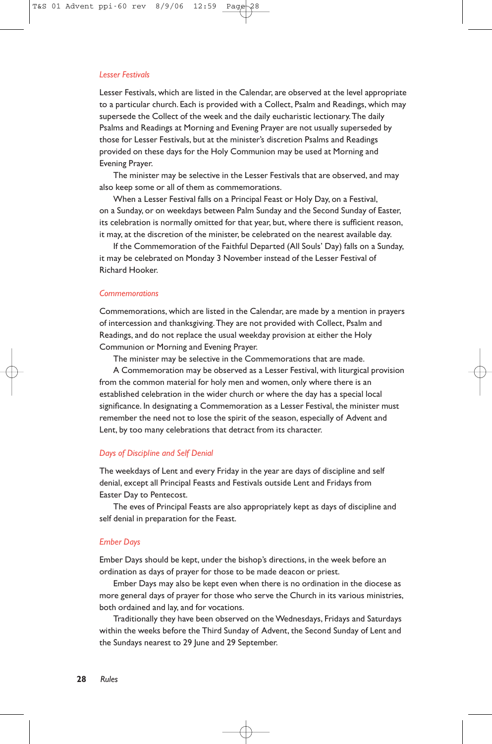#### *Lesser Festivals*

Lesser Festivals, which are listed in the Calendar, are observed at the level appropriate to a particular church. Each is provided with a Collect, Psalm and Readings, which may supersede the Collect of the week and the daily eucharistic lectionary.The daily Psalms and Readings at Morning and Evening Prayer are not usually superseded by those for Lesser Festivals, but at the minister's discretion Psalms and Readings provided on these days for the Holy Communion may be used at Morning and Evening Prayer.

The minister may be selective in the Lesser Festivals that are observed, and may also keep some or all of them as commemorations.

When a Lesser Festival falls on a Principal Feast or Holy Day, on a Festival, on a Sunday, or on weekdays between Palm Sunday and the Second Sunday of Easter, its celebration is normally omitted for that year, but, where there is sufficient reason, it may, at the discretion of the minister, be celebrated on the nearest available day.

If the Commemoration of the Faithful Departed (All Souls' Day) falls on a Sunday, it may be celebrated on Monday 3 November instead of the Lesser Festival of Richard Hooker.

#### *Commemorations*

Commemorations, which are listed in the Calendar, are made by a mention in prayers of intercession and thanksgiving.They are not provided with Collect, Psalm and Readings, and do not replace the usual weekday provision at either the Holy Communion or Morning and Evening Prayer.

The minister may be selective in the Commemorations that are made.

A Commemoration may be observed as a Lesser Festival, with liturgical provision from the common material for holy men and women, only where there is an established celebration in the wider church or where the day has a special local significance. In designating a Commemoration as a Lesser Festival, the minister must remember the need not to lose the spirit of the season, especially of Advent and Lent, by too many celebrations that detract from its character.

#### *Days of Discipline and Self Denial*

The weekdays of Lent and every Friday in the year are days of discipline and self denial, except all Principal Feasts and Festivals outside Lent and Fridays from Easter Day to Pentecost.

The eves of Principal Feasts are also appropriately kept as days of discipline and self denial in preparation for the Feast.

#### *Ember Days*

Ember Days should be kept, under the bishop's directions, in the week before an ordination as days of prayer for those to be made deacon or priest.

Ember Days may also be kept even when there is no ordination in the diocese as more general days of prayer for those who serve the Church in its various ministries, both ordained and lay, and for vocations.

Traditionally they have been observed on the Wednesdays, Fridays and Saturdays within the weeks before the Third Sunday of Advent, the Second Sunday of Lent and the Sundays nearest to 29 June and 29 September.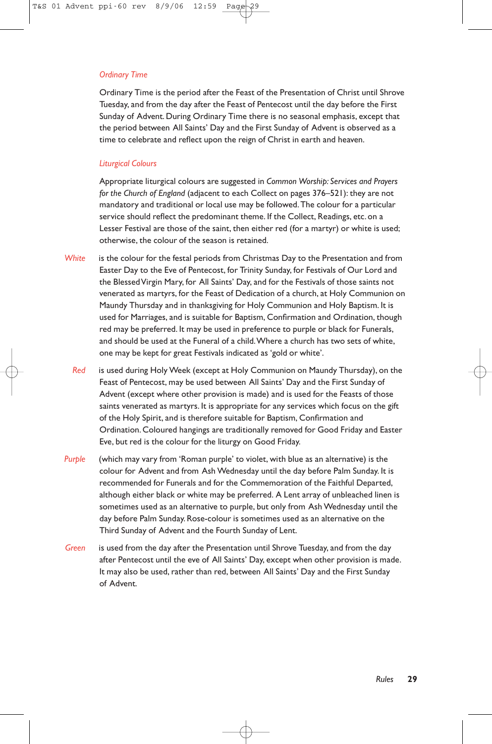#### *Ordinary Time*

Ordinary Time is the period after the Feast of the Presentation of Christ until Shrove Tuesday, and from the day after the Feast of Pentecost until the day before the First Sunday of Advent. During Ordinary Time there is no seasonal emphasis, except that the period between All Saints' Day and the First Sunday of Advent is observed as a time to celebrate and reflect upon the reign of Christ in earth and heaven.

#### *Liturgical Colours*

Appropriate liturgical colours are suggested in *Common Worship: Services and Prayers for the Church of England* (adjacent to each Collect on pages 376–521): they are not mandatory and traditional or local use may be followed.The colour for a particular service should reflect the predominant theme. If the Collect, Readings, etc. on a Lesser Festival are those of the saint, then either red (for a martyr) or white is used; otherwise, the colour of the season is retained.

- *White* is the colour for the festal periods from Christmas Day to the Presentation and from Easter Day to the Eve of Pentecost, for Trinity Sunday, for Festivals of Our Lord and the Blessed Virgin Mary, for All Saints' Day, and for the Festivals of those saints not venerated as martyrs, for the Feast of Dedication of a church, at Holy Communion on Maundy Thursday and in thanksgiving for Holy Communion and Holy Baptism. It is used for Marriages, and is suitable for Baptism, Confirmation and Ordination, though red may be preferred. It may be used in preference to purple or black for Funerals, and should be used at the Funeral of a child.Where a church has two sets of white, one may be kept for great Festivals indicated as 'gold or white'.
	- *Red* is used during Holy Week (except at Holy Communion on Maundy Thursday), on the Feast of Pentecost, may be used between All Saints' Day and the First Sunday of Advent (except where other provision is made) and is used for the Feasts of those saints venerated as martyrs. It is appropriate for any services which focus on the gift of the Holy Spirit, and is therefore suitable for Baptism, Confirmation and Ordination. Coloured hangings are traditionally removed for Good Friday and Easter Eve, but red is the colour for the liturgy on Good Friday.
- *Purple* (which may vary from 'Roman purple' to violet, with blue as an alternative) is the colour for Advent and from Ash Wednesday until the day before Palm Sunday. It is recommended for Funerals and for the Commemoration of the Faithful Departed, although either black or white may be preferred. A Lent array of unbleached linen is sometimes used as an alternative to purple, but only from Ash Wednesday until the day before Palm Sunday. Rose-colour is sometimes used as an alternative on the Third Sunday of Advent and the Fourth Sunday of Lent.
- *Green* is used from the day after the Presentation until Shrove Tuesday, and from the day after Pentecost until the eve of All Saints' Day, except when other provision is made. It may also be used, rather than red, between All Saints' Day and the First Sunday of Advent.